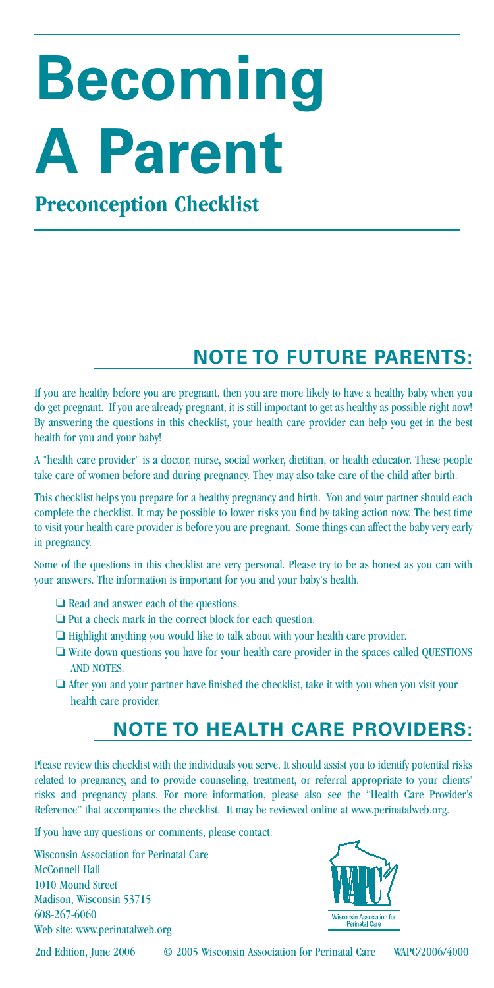# **Becoming A Parent**

# **Preconception Checklist**

# **NOTE TO FUTURE PARENTS:**

If you are healthy before you are pregnant, then you are more likely to have a healthy baby when you do get pregnant. If you are already pregnant, it is still important to get as healthy as possible right now! By answering the questions in this checklist, your health care provider can help you get in the best health for you and your baby!

A "health care provider" is a doctor, nurse, social worker, dietitian, or health educator. These people take care of women before and during pregnancy. They may also take care of the child after birth.

This checklist helps you prepare for a healthy pregnancy and birth. You and your partner should each complete the checklist. It may be possible to lower risks you find by taking action now. The best time to visit your health care provider is before you are pregnant. Some things can affect the baby very early in pregnancy.

Some of the questions in this checklist are very personal. Please try to be as honest as you can with your answers. The information is important for you and your baby's health.

- ❏ Read and answer each of the questions.
- ❏ Put a check mark in the correct block for each question.
- ❏ Highlight anything you would like to talk about with your health care provider.
- ❏ Write down questions you have for your health care provider in the spaces called QUESTIONS AND NOTES.
- ❏ After you and your partner have finished the checklist, take it with you when you visit your health care provider.

#### **NOTE TO HEALTH CARE PROVIDERS:**

Please review this checklist with the individuals you serve. It should assist you to identify potential risks related to pregnancy, and to provide counseling, treatment, or referral appropriate to your clients' risks and pregnancy plans. For more information, please also see the "Health Care Provider's Reference" that accompanies the checklist. It may be reviewed online at www.perinatalweb.org.

If you have any questions or comments, please contact:

Wisconsin Association for Perinatal Care McConnell Hall 1010 Mound Street Madison, Wisconsin 53715 608-267-6060 Web site: www.perinatalweb.org



2nd Edition, June 2006 © 2005 Wisconsin Association for Perinatal Care WAPC/2006/4000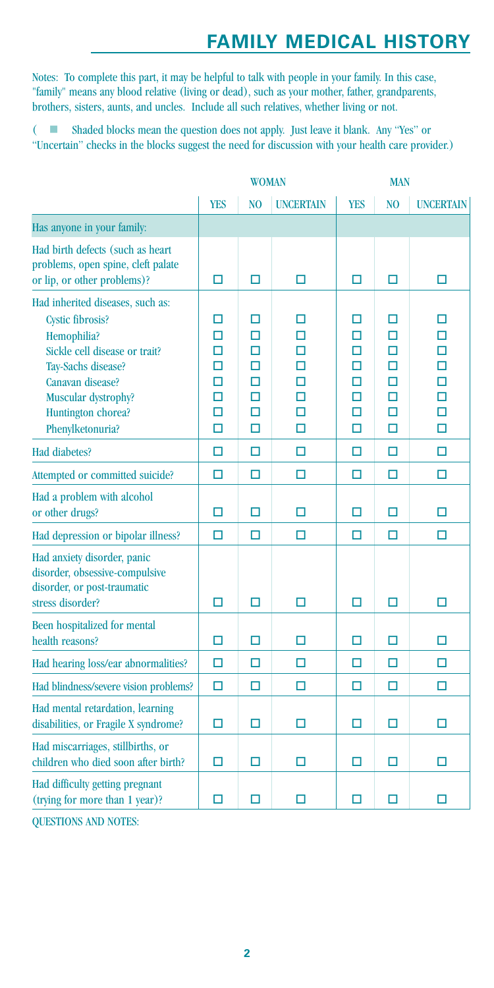#### **FAMILY MEDICAL HISTORY**

Notes: To complete this part, it may be helpful to talk with people in your family. In this case, "family" means any blood relative (living or dead), such as your mother, father, grandparents, brothers, sisters, aunts, and uncles. Include all such relatives, whether living or not.

 $\overline{(-)}$  Shaded blocks mean the question does not apply. Just leave it blank. Any "Yes" or "Uncertain" checks in the blocks suggest the need for discussion with your health care provider.)

|                                                                                                                                                                                                                        | <b>WOMAN</b>                         |                                      |                                      | <b>MAN</b>                           |                                           |                                      |
|------------------------------------------------------------------------------------------------------------------------------------------------------------------------------------------------------------------------|--------------------------------------|--------------------------------------|--------------------------------------|--------------------------------------|-------------------------------------------|--------------------------------------|
|                                                                                                                                                                                                                        | <b>YES</b>                           | N <sub>O</sub>                       | <b>UNCERTAIN</b>                     | <b>YES</b>                           | N <sub>O</sub>                            | <b>UNCERTAIN</b>                     |
| Has anyone in your family:                                                                                                                                                                                             |                                      |                                      |                                      |                                      |                                           |                                      |
| Had birth defects (such as heart<br>problems, open spine, cleft palate<br>or lip, or other problems)?                                                                                                                  | □                                    | □                                    | □                                    | □                                    | □                                         | □                                    |
| Had inherited diseases, such as:<br><b>Cystic fibrosis?</b><br>Hemophilia?<br>Sickle cell disease or trait?<br>Tav-Sachs disease?<br>Canavan disease?<br>Muscular dystrophy?<br>Huntington chorea?<br>Phenylketonuria? | п<br>□<br>□<br>□<br>□<br>□<br>□<br>П | п<br>□<br>□<br>п<br>п<br>□<br>□<br>П | п<br>□<br>п<br>П<br>П<br>□<br>□<br>П | п<br>□<br>□<br>п<br>п<br>□<br>□<br>□ | п<br>□<br>□<br>п<br>□<br>□<br>$\Box$<br>□ | п<br>□<br>□<br>□<br>П<br>□<br>□<br>□ |
| Had diabetes?                                                                                                                                                                                                          | □                                    | П                                    | □                                    | □                                    | □                                         | П                                    |
| Attempted or committed suicide?                                                                                                                                                                                        | □                                    | □                                    | □                                    | □                                    | □                                         | □                                    |
| Had a problem with alcohol<br>or other drugs?                                                                                                                                                                          | □                                    | □                                    | □                                    | □                                    | □                                         | □                                    |
| Had depression or bipolar illness?                                                                                                                                                                                     | $\Box$                               | П                                    | $\Box$                               | $\Box$                               | $\Box$                                    | $\Box$                               |
| Had anxiety disorder, panic<br>disorder, obsessive-compulsive<br>disorder, or post-traumatic<br>stress disorder?                                                                                                       | □                                    | П                                    | □                                    | □                                    | □                                         | □                                    |
| Been hospitalized for mental<br>health reasons?                                                                                                                                                                        | □                                    | □                                    | □                                    | □                                    | □                                         | □                                    |
| Had hearing loss/ear abnormalities?                                                                                                                                                                                    | □                                    | □                                    | $\Box$                               | $\Box$                               | $\Box$                                    | $\Box$                               |
| Had blindness/severe vision problems?                                                                                                                                                                                  | □                                    | П                                    | □                                    | □                                    | П                                         | □                                    |
| Had mental retardation, learning<br>disabilities, or Fragile X syndrome?                                                                                                                                               | □                                    | □                                    | □                                    | □                                    | □                                         | □                                    |
| Had miscarriages, stillbirths, or<br>children who died soon after birth?                                                                                                                                               | п                                    | п                                    | п                                    | п                                    | п                                         | п                                    |
| Had difficulty getting pregnant<br>(trying for more than 1 year)?                                                                                                                                                      | п                                    | п                                    | □                                    | п                                    | □                                         | О                                    |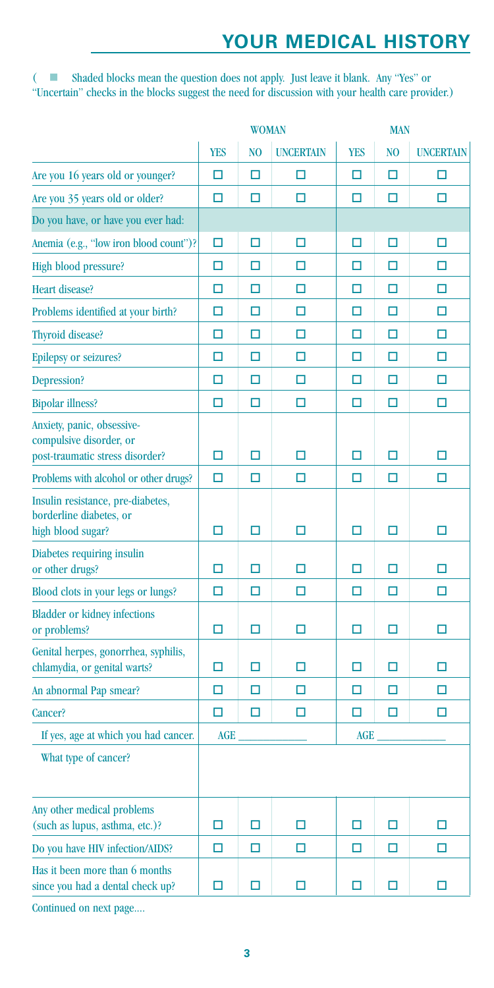#### **YOUR MEDICAL HISTORY**

(  $\blacksquare$  Shaded blocks mean the question does not apply. Just leave it blank. Any "Yes" or "Uncertain" checks in the blocks suggest the need for discussion with your health care provider.)

|                                                                                          | <b>WOMAN</b> |                |                  | <b>MAN</b> |                |                  |
|------------------------------------------------------------------------------------------|--------------|----------------|------------------|------------|----------------|------------------|
|                                                                                          | <b>YES</b>   | N <sub>O</sub> | <b>UNCERTAIN</b> | <b>YES</b> | N <sub>O</sub> | <b>UNCERTAIN</b> |
| Are you 16 years old or younger?                                                         | □            | □              | □                | □          | $\Box$         | □                |
| Are you 35 years old or older?                                                           | □            | □              | □                | □          | □              | □                |
| Do you have, or have you ever had:                                                       |              |                |                  |            |                |                  |
| Anemia (e.g., "low iron blood count")?                                                   | $\Box$       | □              | $\Box$           | □          | $\Box$         | □                |
| High blood pressure?                                                                     | □            | □              | □                | □          | П              | □                |
| Heart disease?                                                                           | □            | □              | □                | □          | $\Box$         | □                |
| Problems identified at your birth?                                                       | □            | □              | □                | □          | □              | □                |
| Thyroid disease?                                                                         | □            | □              | □                | □          | □              | □                |
| <b>Epilepsy or seizures?</b>                                                             | □            | □              | □                | □          | □              | □                |
| Depression?                                                                              | $\Box$       | □              | □                | □          | $\Box$         | □                |
| <b>Bipolar illness?</b>                                                                  | □            | □              | □                | □          | П              | □                |
| Anxiety, panic, obsessive-<br>compulsive disorder, or<br>post-traumatic stress disorder? | □            | □              | о                | □          | □              | □                |
| Problems with alcohol or other drugs?                                                    | □            | □              | □                | □          | □              | □                |
| Insulin resistance, pre-diabetes,<br>borderline diabetes, or<br>high blood sugar?        | □            | $\Box$         | $\Box$           | $\Box$     | $\Box$         | □                |
| Diabetes requiring insulin<br>or other drugs?                                            | □            | □              | □                | □          | □              | □                |
| Blood clots in your legs or lungs?                                                       | □            | □              | □                | □          | □              | □                |
| <b>Bladder or kidney infections</b><br>or problems?                                      | □            | □              | □                | □          | □              | □                |
| Genital herpes, gonorrhea, syphilis,<br>chlamydia, or genital warts?                     | □            | □              | □                | □          | □              | □                |
| An abnormal Pap smear?                                                                   | □            | □              | □                | □          | □              | □                |
| Cancer?                                                                                  | □            | □              | □                | □          | □              | □                |
| If yes, age at which you had cancer.                                                     | <b>AGE</b>   |                |                  | <b>AGE</b> |                |                  |
| What type of cancer?                                                                     |              |                |                  |            |                |                  |
| Any other medical problems<br>(such as lupus, asthma, etc.)?                             | □            | □              | □                | □          | □              | □                |
| Do you have HIV infection/AIDS?                                                          | □            | $\Box$         | □                | □          | □              | □                |
| Has it been more than 6 months<br>since you had a dental check up?                       | □            | ◘              | □                | □          | $\Box$         | □                |

Continued on next page....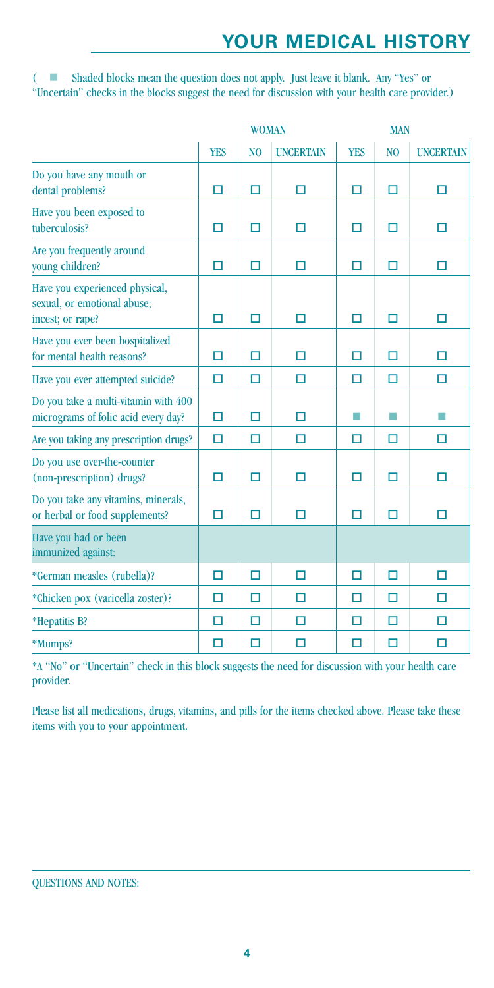# **YOUR MEDICAL HISTORY**

 $($   $\Box$  Shaded blocks mean the question does not apply. Just leave it blank. Any "Yes" or "Uncertain" checks in the blocks suggest the need for discussion with your health care provider.)

|                                                                                   | <b>WOMAN</b> |                |                  | <b>MAN</b> |                |                  |
|-----------------------------------------------------------------------------------|--------------|----------------|------------------|------------|----------------|------------------|
|                                                                                   | <b>YES</b>   | N <sub>O</sub> | <b>UNCERTAIN</b> | <b>YES</b> | N <sub>O</sub> | <b>UNCERTAIN</b> |
| Do you have any mouth or<br>dental problems?                                      | □            | □              | □                | □          | $\Box$         | □                |
| Have you been exposed to<br>tuberculosis?                                         | □            | □              | □                | □          | □              | □                |
| Are you frequently around<br>young children?                                      | □            | п              | П                | □          | □              | □                |
| Have you experienced physical,<br>sexual, or emotional abuse;<br>incest; or rape? | п            | П              | п                | п          | п              | п                |
| Have you ever been hospitalized<br>for mental health reasons?                     | П            | п              | п                | п          | П              | п                |
| Have you ever attempted suicide?                                                  | □            | □              | п                | □          | П              | п                |
| Do you take a multi-vitamin with 400<br>micrograms of folic acid every day?       | П            | П              | □                | m.         | T.             | T.               |
| Are you taking any prescription drugs?                                            | $\Box$       | п              | п                | □          | П              | п                |
| Do you use over-the-counter<br>(non-prescription) drugs?                          | □            | п              | п                | □          | □              | □                |
| Do you take any vitamins, minerals,<br>or herbal or food supplements?             | П            | □              | □                | □          | $\Box$         | □                |
| Have you had or been<br>immunized against:                                        |              |                |                  |            |                |                  |
| *German measles (rubella)?                                                        | □            | п              | П                | П          | п              | П                |
| *Chicken pox (varicella zoster)?                                                  | □            | п              | □                | □          | П              | □                |
| *Hepatitis B?                                                                     | □            | П              | П                | □          | П              | □                |
| *Mumps?                                                                           | П            | п              | П                | □          | П              | □                |

\*A "No" or "Uncertain" check in this block suggests the need for discussion with your health care provider.

Please list all medications, drugs, vitamins, and pills for the items checked above. Please take these items with you to your appointment.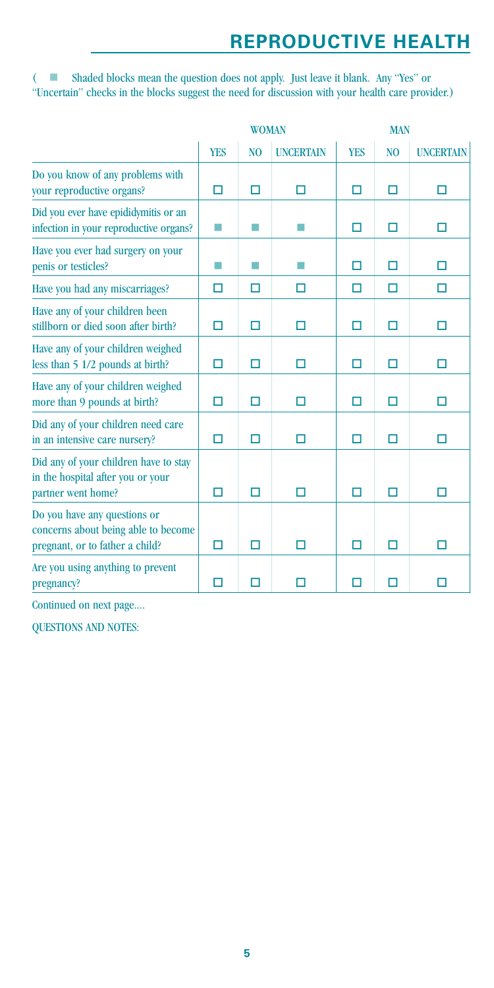# **REPRODUCTIVE HEALTH**

(  $\blacksquare$  Shaded blocks mean the question does not apply. Just leave it blank. Any "Yes" or "Uncertain" checks in the blocks suggest the need for discussion with your health care provider.)

|                                                                                                        | <b>WOMAN</b> |                |                  | <b>MAN</b> |                |                  |
|--------------------------------------------------------------------------------------------------------|--------------|----------------|------------------|------------|----------------|------------------|
|                                                                                                        | <b>YES</b>   | N <sub>O</sub> | <b>UNCERTAIN</b> | <b>YES</b> | N <sub>O</sub> | <b>UNCERTAIN</b> |
| Do you know of any problems with<br>your reproductive organs?                                          | □            | П              | п                | п          | П              | п                |
| Did you ever have epididymitis or an<br>infection in your reproductive organs?                         | m.           | ш              |                  | □          | П              | □                |
| Have you ever had surgery on your<br>penis or testicles?                                               | m.           | ш              |                  | □          | □              | □                |
| Have you had any miscarriages?                                                                         | □            | □              | п                | □          | □              | □                |
| Have any of your children been<br>stillborn or died soon after birth?                                  | □            | П              | П                | □          | □              | □                |
| Have any of your children weighed<br>less than 5 1/2 pounds at birth?                                  | п            | п              | п                | п          | п              | п                |
| Have any of your children weighed<br>more than 9 pounds at birth?                                      | □            | п              | П                | п          | П              | □                |
| Did any of your children need care<br>in an intensive care nursery?                                    | □            | п              | п                | п          | п              | п                |
| Did any of your children have to stay<br>in the hospital after you or your<br>partner went home?       | □            | □              | п                | □          | п              | □                |
| Do you have any questions or<br>concerns about being able to become<br>pregnant, or to father a child? | □            | □              | п                | п          | п              | п                |
| Are you using anything to prevent<br>pregnancy?                                                        | П            | П              | п                | п          | П              | п                |

Continued on next page....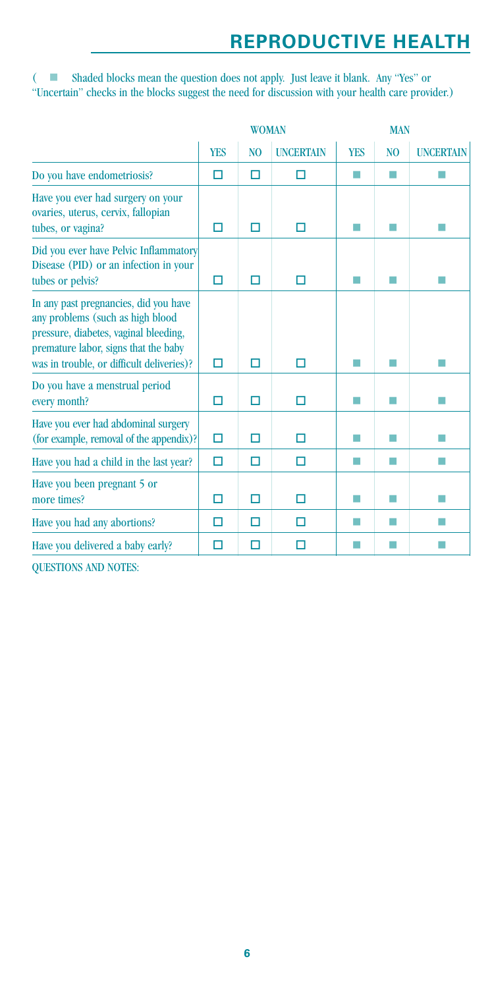# **REPRODUCTIVE HEALTH**

(  $\blacksquare$  Shaded blocks mean the question does not apply. Just leave it blank. Any "Yes" or "Uncertain" checks in the blocks suggest the need for discussion with your health care provider.)

|                                                                                                                                                                                                         | <b>WOMAN</b> |                |                  | <b>MAN</b> |                |                  |
|---------------------------------------------------------------------------------------------------------------------------------------------------------------------------------------------------------|--------------|----------------|------------------|------------|----------------|------------------|
|                                                                                                                                                                                                         | <b>YES</b>   | N <sub>O</sub> | <b>UNCERTAIN</b> | <b>YES</b> | N <sub>O</sub> | <b>UNCERTAIN</b> |
| Do you have endometriosis?                                                                                                                                                                              | п            | □              | п                |            | m.             |                  |
| Have you ever had surgery on your<br>ovaries, uterus, cervix, fallopian<br>tubes, or vagina?                                                                                                            | П            | п              | п                |            | m.             | H.               |
| Did you ever have Pelvic Inflammatory<br>Disease (PID) or an infection in your<br>tubes or pelvis?                                                                                                      | П            | п              | П                |            | and a          |                  |
| In any past pregnancies, did you have<br>any problems (such as high blood<br>pressure, diabetes, vaginal bleeding,<br>premature labor, signs that the baby<br>was in trouble, or difficult deliveries)? | □            | П              | Ω                |            |                |                  |
| Do you have a menstrual period<br>every month?                                                                                                                                                          | □            | п              | □                |            |                |                  |
| Have you ever had abdominal surgery<br>(for example, removal of the appendix)?                                                                                                                          | □            | □              | □                |            |                |                  |
| Have you had a child in the last year?                                                                                                                                                                  | □            | п              | п                |            |                |                  |
| Have you been pregnant 5 or<br>more times?                                                                                                                                                              | п            | п              | п                |            |                |                  |
| Have you had any abortions?                                                                                                                                                                             | п            | п              | п                |            | H              |                  |
| Have you delivered a baby early?                                                                                                                                                                        | п            | п              | п                |            |                |                  |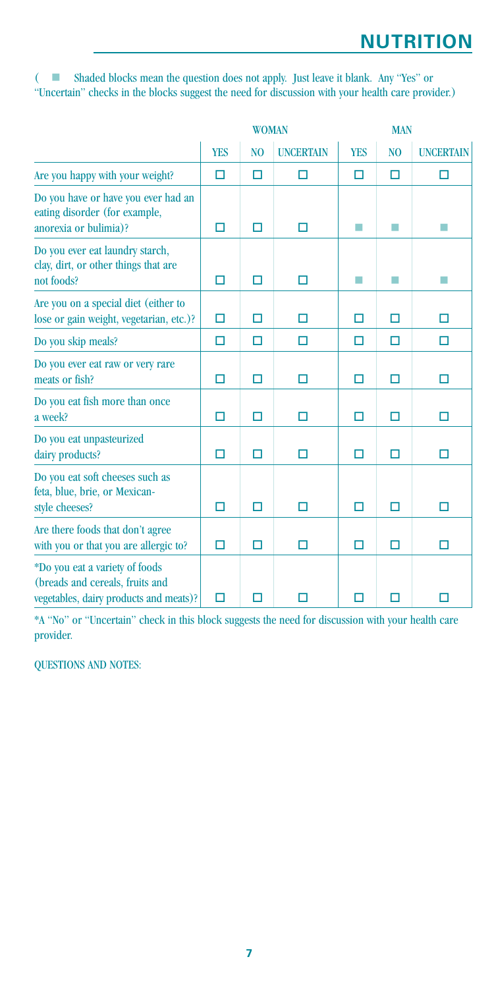(  $\blacksquare$  Shaded blocks mean the question does not apply. Just leave it blank. Any "Yes" or "Uncertain" checks in the blocks suggest the need for discussion with your health care provider.)

|                                                                                                             | <b>WOMAN</b> |                |                  | <b>MAN</b> |                |                  |
|-------------------------------------------------------------------------------------------------------------|--------------|----------------|------------------|------------|----------------|------------------|
|                                                                                                             | <b>YES</b>   | N <sub>O</sub> | <b>UNCERTAIN</b> | <b>YES</b> | N <sub>O</sub> | <b>UNCERTAIN</b> |
| Are you happy with your weight?                                                                             | $\Box$       | □              | П                | П          | $\Box$         | □                |
| Do you have or have you ever had an<br>eating disorder (for example,<br>anorexia or bulimia)?               | □            | п              | □                |            | m.             |                  |
| Do you ever eat laundry starch,<br>clay, dirt, or other things that are<br>not foods?                       | □            | □              | □                | a a        | m.             | П                |
| Are you on a special diet (either to<br>lose or gain weight, vegetarian, etc.)?                             | □            | П              | п                | □          | □              | П                |
| Do you skip meals?                                                                                          | П            | п              | □                | □          | □              | □                |
| Do you ever eat raw or very rare<br>meats or fish?                                                          | П            | п              | □                | п          | □              | □                |
| Do you eat fish more than once<br>a week?                                                                   | □            | □              | □                | □          | □              | □                |
| Do you eat unpasteurized<br>dairy products?                                                                 | □            | □              | □                | □          | □              | □                |
| Do you eat soft cheeses such as<br>feta, blue, brie, or Mexican-<br>style cheeses?                          | □            | п              | п                | п          | □              | п                |
| Are there foods that don't agree<br>with you or that you are allergic to?                                   | □            | п              | □                | п          | □              | П                |
| *Do you eat a variety of foods<br>(breads and cereals, fruits and<br>vegetables, dairy products and meats)? | $\Box$       | п              | П                | п          | п              | п                |

\*A "No" or "Uncertain" check in this block suggests the need for discussion with your health care provider.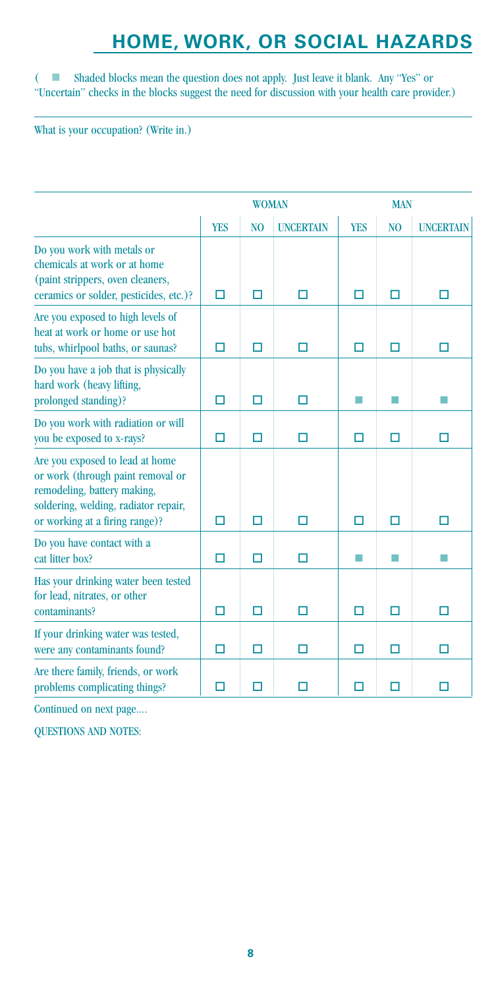# **HOME, WORK, OR SOCIAL HAZARDS**

(  $\blacksquare$  Shaded blocks mean the question does not apply. Just leave it blank. Any "Yes" or "Uncertain" checks in the blocks suggest the need for discussion with your health care provider.)

What is your occupation? (Write in.)

|                                                                                                                                                                               | <b>WOMAN</b> |                |                  | <b>MAN</b> |                |                  |
|-------------------------------------------------------------------------------------------------------------------------------------------------------------------------------|--------------|----------------|------------------|------------|----------------|------------------|
|                                                                                                                                                                               | <b>YES</b>   | N <sub>O</sub> | <b>UNCERTAIN</b> | <b>YES</b> | N <sub>O</sub> | <b>UNCERTAIN</b> |
| Do you work with metals or<br>chemicals at work or at home<br>(paint strippers, oven cleaners,<br>ceramics or solder, pesticides, etc.)?                                      | П            | □              | □                | □          | □              | □                |
| Are you exposed to high levels of<br>heat at work or home or use hot<br>tubs, whirlpool baths, or saunas?                                                                     | П            | □              | П                | п          | $\Box$         | п                |
| Do you have a job that is physically<br>hard work (heavy lifting,<br>prolonged standing)?                                                                                     | П            | □              | П                |            |                | П                |
| Do you work with radiation or will<br>you be exposed to x-rays?                                                                                                               | □            | п              | п                | п          | п              | п                |
| Are you exposed to lead at home<br>or work (through paint removal or<br>remodeling, battery making,<br>soldering, welding, radiator repair,<br>or working at a firing range)? | п            | п              | п                | п          | п              | п                |
| Do you have contact with a<br>cat litter box?                                                                                                                                 | п            | П              | П                |            | m.             | п                |
| Has your drinking water been tested<br>for lead, nitrates, or other<br>contaminants?                                                                                          | П            | п              | П                | □          | П              | п                |
| If your drinking water was tested,<br>were any contaminants found?                                                                                                            | ◘            | п              | □                | п          | п              | п                |
| Are there family, friends, or work<br>problems complicating things?                                                                                                           | п            | n              | п                | п          | п              | п                |

Continued on next page....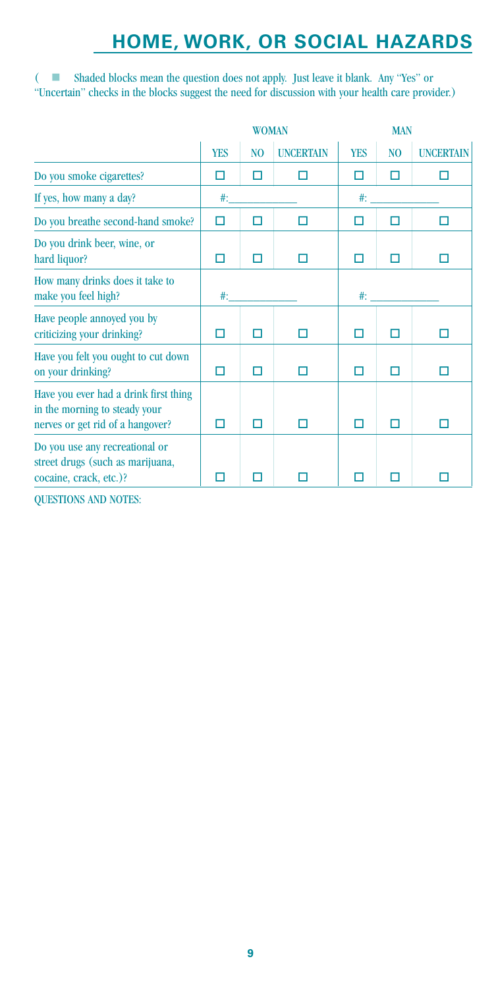# **HOME, WORK, OR SOCIAL HAZARDS**

(  $\blacksquare$  Shaded blocks mean the question does not apply. Just leave it blank. Any "Yes" or "Uncertain" checks in the blocks suggest the need for discussion with your health care provider.)

|                                                                                                            | <b>WOMAN</b> |                |                  | <b>MAN</b> |                |                  |
|------------------------------------------------------------------------------------------------------------|--------------|----------------|------------------|------------|----------------|------------------|
|                                                                                                            | <b>YES</b>   | N <sub>O</sub> | <b>UNCERTAIN</b> | <b>YES</b> | N <sub>O</sub> | <b>UNCERTAIN</b> |
| Do you smoke cigarettes?                                                                                   | п            | П              | H                | П          | п              | п                |
| If yes, how many a day?                                                                                    | #:           |                |                  | $#$ :      |                |                  |
| Do you breathe second-hand smoke?                                                                          | □            | п              | □                | п          | п              |                  |
| Do you drink beer, wine, or<br>hard liquor?                                                                | п            | п              |                  | П          |                |                  |
| How many drinks does it take to<br>make you feel high?                                                     | $#$ :        |                |                  | $#$ :      |                |                  |
| Have people annoyed you by<br>criticizing your drinking?                                                   | п            | П              |                  | п          | П              |                  |
| Have you felt you ought to cut down<br>on your drinking?                                                   | п            | п              | п                | П          | п              | п                |
| Have you ever had a drink first thing<br>in the morning to steady your<br>nerves or get rid of a hangover? | п            | П              | □                | П          | п              | □                |
| Do you use any recreational or<br>street drugs (such as marijuana,<br>cocaine, crack, etc.)?               |              |                |                  |            |                |                  |